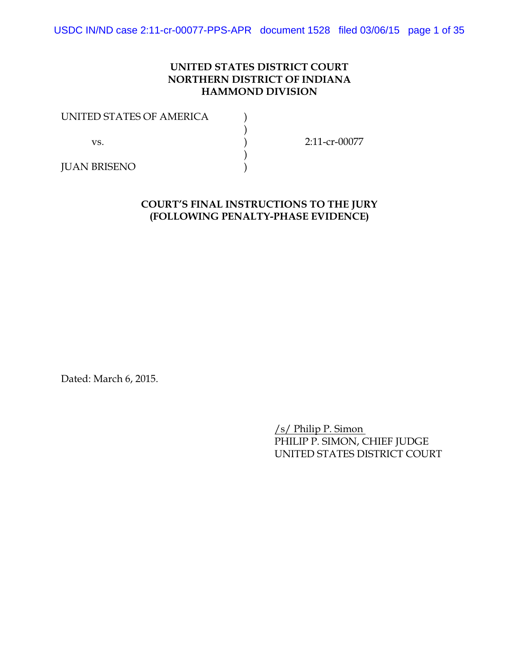# **UNITED STATES DISTRICT COURT NORTHERN DISTRICT OF INDIANA HAMMOND DIVISION**

| UNITED STATES OF AMERICA |               |
|--------------------------|---------------|
|                          |               |
| VS.                      | 2:11-cr-00077 |
|                          |               |
| <b>JUAN BRISENO</b>      |               |

# **COURT'S FINAL INSTRUCTIONS TO THE JURY (FOLLOWING PENALTY-PHASE EVIDENCE)**

Dated: March 6, 2015.

/s/ Philip P. Simon PHILIP P. SIMON, CHIEF JUDGE UNITED STATES DISTRICT COURT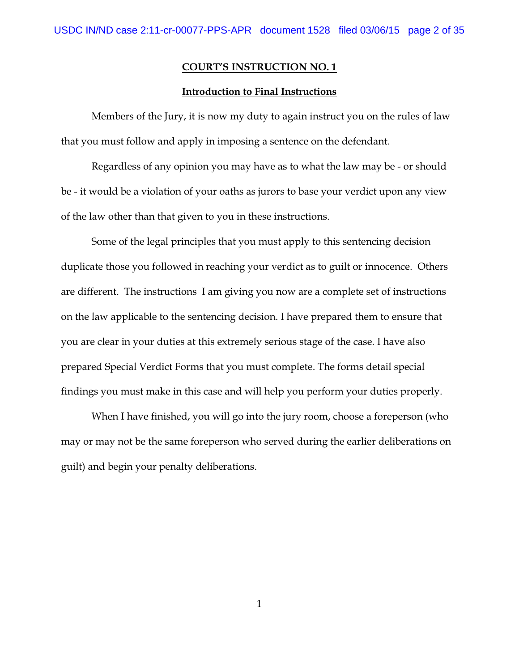#### **Introduction to Final Instructions**

Members of the Jury, it is now my duty to again instruct you on the rules of law that you must follow and apply in imposing a sentence on the defendant.

Regardless of any opinion you may have as to what the law may be - or should be - it would be a violation of your oaths as jurors to base your verdict upon any view of the law other than that given to you in these instructions.

Some of the legal principles that you must apply to this sentencing decision duplicate those you followed in reaching your verdict as to guilt or innocence. Others are different. The instructions I am giving you now are a complete set of instructions on the law applicable to the sentencing decision. I have prepared them to ensure that you are clear in your duties at this extremely serious stage of the case. I have also prepared Special Verdict Forms that you must complete. The forms detail special findings you must make in this case and will help you perform your duties properly.

When I have finished, you will go into the jury room, choose a foreperson (who may or may not be the same foreperson who served during the earlier deliberations on guilt) and begin your penalty deliberations.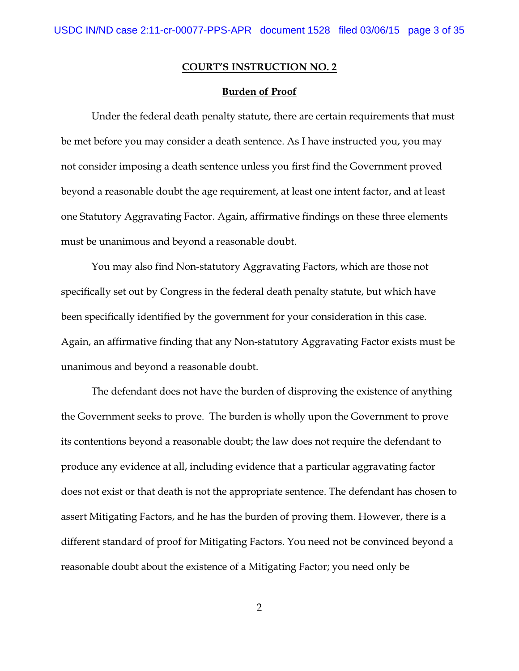#### **Burden of Proof**

Under the federal death penalty statute, there are certain requirements that must be met before you may consider a death sentence. As I have instructed you, you may not consider imposing a death sentence unless you first find the Government proved beyond a reasonable doubt the age requirement, at least one intent factor, and at least one Statutory Aggravating Factor. Again, affirmative findings on these three elements must be unanimous and beyond a reasonable doubt.

You may also find Non-statutory Aggravating Factors, which are those not specifically set out by Congress in the federal death penalty statute, but which have been specifically identified by the government for your consideration in this case. Again, an affirmative finding that any Non-statutory Aggravating Factor exists must be unanimous and beyond a reasonable doubt.

The defendant does not have the burden of disproving the existence of anything the Government seeks to prove. The burden is wholly upon the Government to prove its contentions beyond a reasonable doubt; the law does not require the defendant to produce any evidence at all, including evidence that a particular aggravating factor does not exist or that death is not the appropriate sentence. The defendant has chosen to assert Mitigating Factors, and he has the burden of proving them. However, there is a different standard of proof for Mitigating Factors. You need not be convinced beyond a reasonable doubt about the existence of a Mitigating Factor; you need only be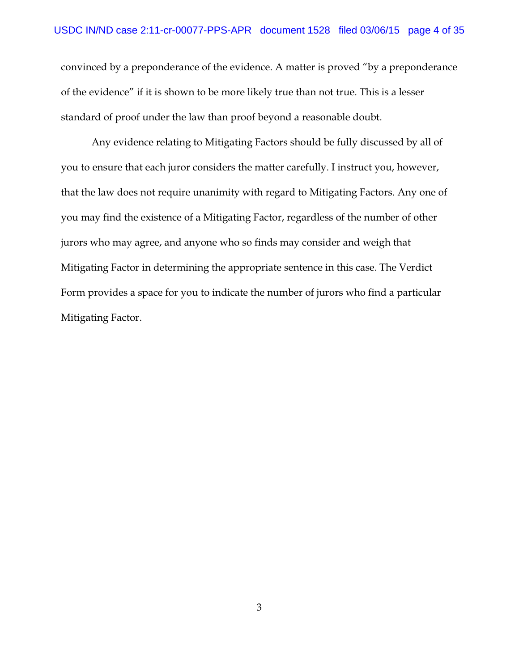convinced by a preponderance of the evidence. A matter is proved "by a preponderance of the evidence" if it is shown to be more likely true than not true. This is a lesser standard of proof under the law than proof beyond a reasonable doubt.

Any evidence relating to Mitigating Factors should be fully discussed by all of you to ensure that each juror considers the matter carefully. I instruct you, however, that the law does not require unanimity with regard to Mitigating Factors. Any one of you may find the existence of a Mitigating Factor, regardless of the number of other jurors who may agree, and anyone who so finds may consider and weigh that Mitigating Factor in determining the appropriate sentence in this case. The Verdict Form provides a space for you to indicate the number of jurors who find a particular Mitigating Factor.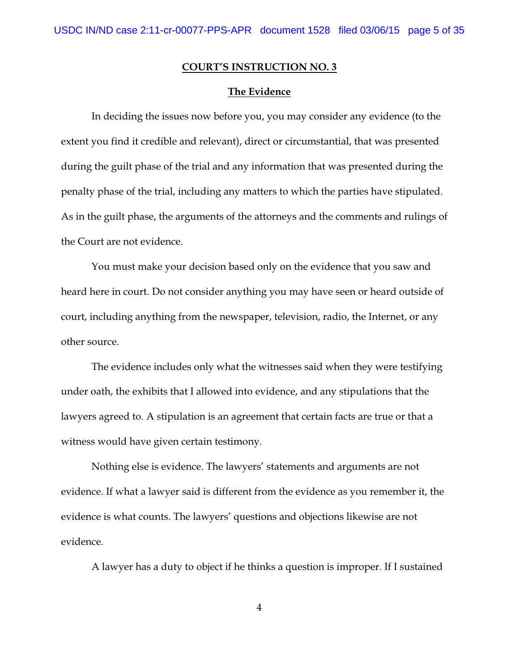### **The Evidence**

In deciding the issues now before you, you may consider any evidence (to the extent you find it credible and relevant), direct or circumstantial, that was presented during the guilt phase of the trial and any information that was presented during the penalty phase of the trial, including any matters to which the parties have stipulated. As in the guilt phase, the arguments of the attorneys and the comments and rulings of the Court are not evidence.

You must make your decision based only on the evidence that you saw and heard here in court. Do not consider anything you may have seen or heard outside of court, including anything from the newspaper, television, radio, the Internet, or any other source.

The evidence includes only what the witnesses said when they were testifying under oath, the exhibits that I allowed into evidence, and any stipulations that the lawyers agreed to. A stipulation is an agreement that certain facts are true or that a witness would have given certain testimony.

Nothing else is evidence. The lawyers' statements and arguments are not evidence. If what a lawyer said is different from the evidence as you remember it, the evidence is what counts. The lawyers' questions and objections likewise are not evidence.

A lawyer has a duty to object if he thinks a question is improper. If I sustained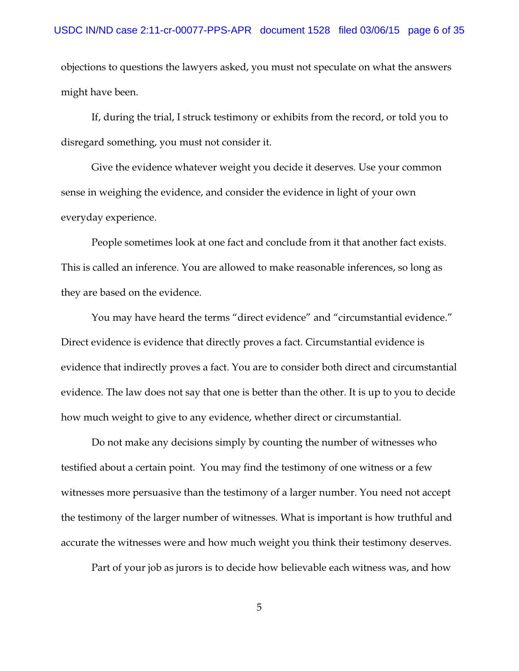objections to questions the lawyers asked, you must not speculate on what the answers might have been.

If, during the trial, I struck testimony or exhibits from the record, or told you to disregard something, you must not consider it.

Give the evidence whatever weight you decide it deserves. Use your common sense in weighing the evidence, and consider the evidence in light of your own everyday experience.

People sometimes look at one fact and conclude from it that another fact exists. This is called an inference. You are allowed to make reasonable inferences, so long as they are based on the evidence.

You may have heard the terms "direct evidence" and "circumstantial evidence." Direct evidence is evidence that directly proves a fact. Circumstantial evidence is evidence that indirectly proves a fact. You are to consider both direct and circumstantial evidence. The law does not say that one is better than the other. It is up to you to decide how much weight to give to any evidence, whether direct or circumstantial.

Do not make any decisions simply by counting the number of witnesses who testified about a certain point. You may find the testimony of one witness or a few witnesses more persuasive than the testimony of a larger number. You need not accept the testimony of the larger number of witnesses. What is important is how truthful and accurate the witnesses were and how much weight you think their testimony deserves.

Part of your job as jurors is to decide how believable each witness was, and how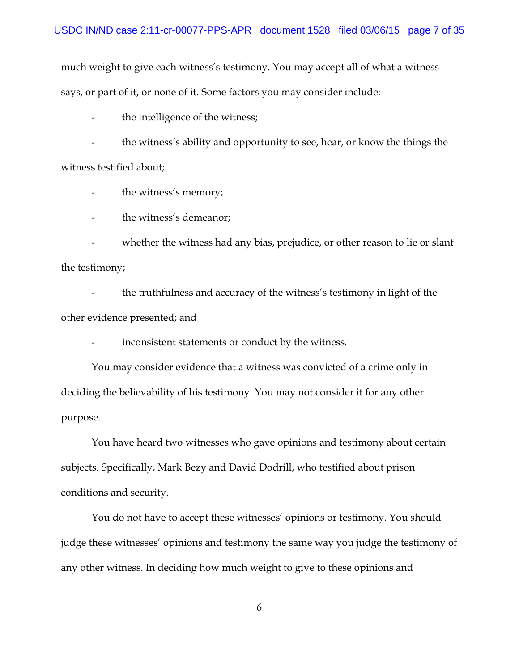much weight to give each witness's testimony. You may accept all of what a witness says, or part of it, or none of it. Some factors you may consider include:

- the intelligence of the witness;

- the witness's ability and opportunity to see, hear, or know the things the witness testified about;

- the witness's memory;

- the witness's demeanor;

- whether the witness had any bias, prejudice, or other reason to lie or slant the testimony;

- the truthfulness and accuracy of the witness's testimony in light of the other evidence presented; and

inconsistent statements or conduct by the witness.

You may consider evidence that a witness was convicted of a crime only in deciding the believability of his testimony. You may not consider it for any other purpose.

You have heard two witnesses who gave opinions and testimony about certain subjects. Specifically, Mark Bezy and David Dodrill, who testified about prison conditions and security.

You do not have to accept these witnesses' opinions or testimony. You should judge these witnesses' opinions and testimony the same way you judge the testimony of any other witness. In deciding how much weight to give to these opinions and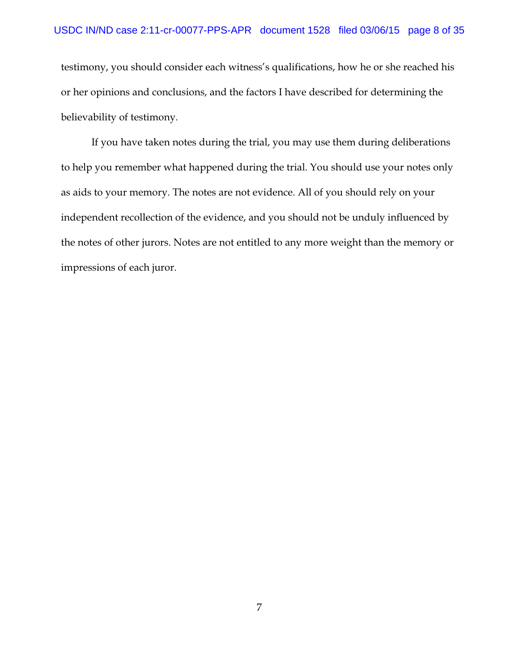testimony, you should consider each witness's qualifications, how he or she reached his or her opinions and conclusions, and the factors I have described for determining the believability of testimony.

If you have taken notes during the trial, you may use them during deliberations to help you remember what happened during the trial. You should use your notes only as aids to your memory. The notes are not evidence. All of you should rely on your independent recollection of the evidence, and you should not be unduly influenced by the notes of other jurors. Notes are not entitled to any more weight than the memory or impressions of each juror.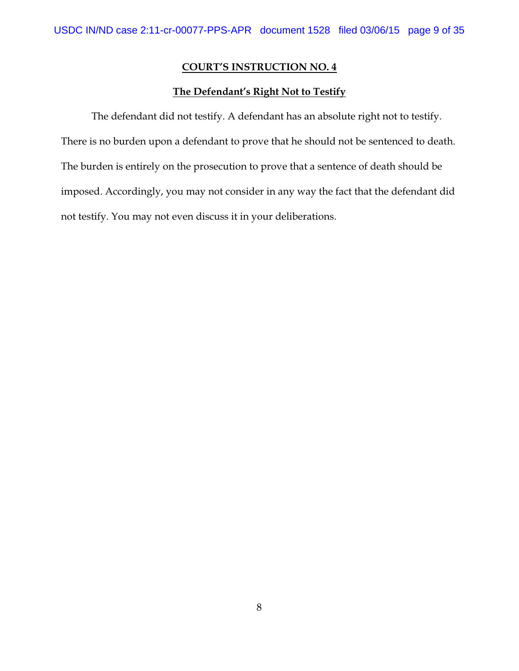### **The Defendant's Right Not to Testify**

The defendant did not testify. A defendant has an absolute right not to testify. There is no burden upon a defendant to prove that he should not be sentenced to death. The burden is entirely on the prosecution to prove that a sentence of death should be imposed. Accordingly, you may not consider in any way the fact that the defendant did not testify. You may not even discuss it in your deliberations.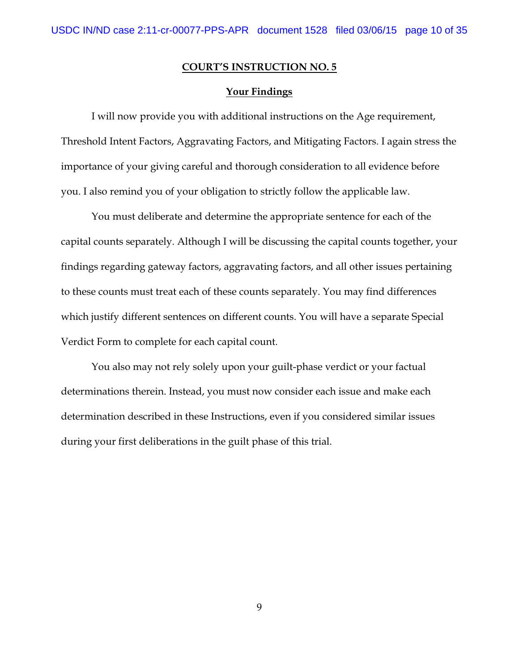### **Your Findings**

I will now provide you with additional instructions on the Age requirement, Threshold Intent Factors, Aggravating Factors, and Mitigating Factors. I again stress the importance of your giving careful and thorough consideration to all evidence before you. I also remind you of your obligation to strictly follow the applicable law.

You must deliberate and determine the appropriate sentence for each of the capital counts separately. Although I will be discussing the capital counts together, your findings regarding gateway factors, aggravating factors, and all other issues pertaining to these counts must treat each of these counts separately. You may find differences which justify different sentences on different counts. You will have a separate Special Verdict Form to complete for each capital count.

You also may not rely solely upon your guilt-phase verdict or your factual determinations therein. Instead, you must now consider each issue and make each determination described in these Instructions, even if you considered similar issues during your first deliberations in the guilt phase of this trial.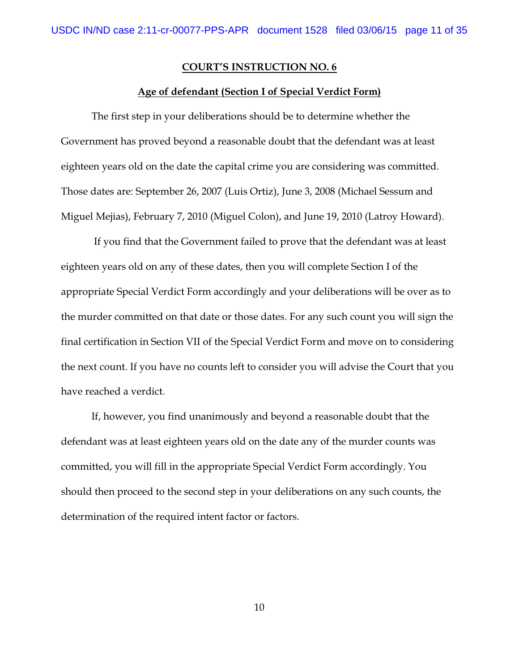#### **Age of defendant (Section I of Special Verdict Form)**

The first step in your deliberations should be to determine whether the Government has proved beyond a reasonable doubt that the defendant was at least eighteen years old on the date the capital crime you are considering was committed. Those dates are: September 26, 2007 (Luis Ortiz), June 3, 2008 (Michael Sessum and Miguel Mejias), February 7, 2010 (Miguel Colon), and June 19, 2010 (Latroy Howard).

 If you find that the Government failed to prove that the defendant was at least eighteen years old on any of these dates, then you will complete Section I of the appropriate Special Verdict Form accordingly and your deliberations will be over as to the murder committed on that date or those dates. For any such count you will sign the final certification in Section VII of the Special Verdict Form and move on to considering the next count. If you have no counts left to consider you will advise the Court that you have reached a verdict.

If, however, you find unanimously and beyond a reasonable doubt that the defendant was at least eighteen years old on the date any of the murder counts was committed, you will fill in the appropriate Special Verdict Form accordingly. You should then proceed to the second step in your deliberations on any such counts, the determination of the required intent factor or factors.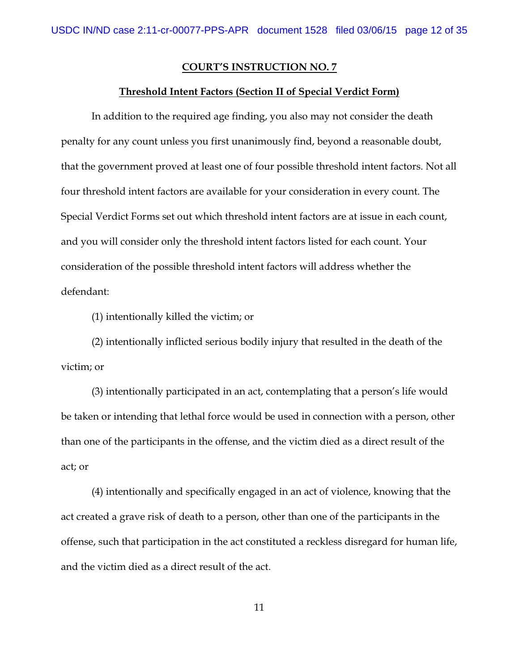#### **Threshold Intent Factors (Section II of Special Verdict Form)**

In addition to the required age finding, you also may not consider the death penalty for any count unless you first unanimously find, beyond a reasonable doubt, that the government proved at least one of four possible threshold intent factors. Not all four threshold intent factors are available for your consideration in every count. The Special Verdict Forms set out which threshold intent factors are at issue in each count, and you will consider only the threshold intent factors listed for each count. Your consideration of the possible threshold intent factors will address whether the defendant:

(1) intentionally killed the victim; or

(2) intentionally inflicted serious bodily injury that resulted in the death of the victim; or

(3) intentionally participated in an act, contemplating that a person's life would be taken or intending that lethal force would be used in connection with a person, other than one of the participants in the offense, and the victim died as a direct result of the act; or

(4) intentionally and specifically engaged in an act of violence, knowing that the act created a grave risk of death to a person, other than one of the participants in the offense, such that participation in the act constituted a reckless disregard for human life, and the victim died as a direct result of the act.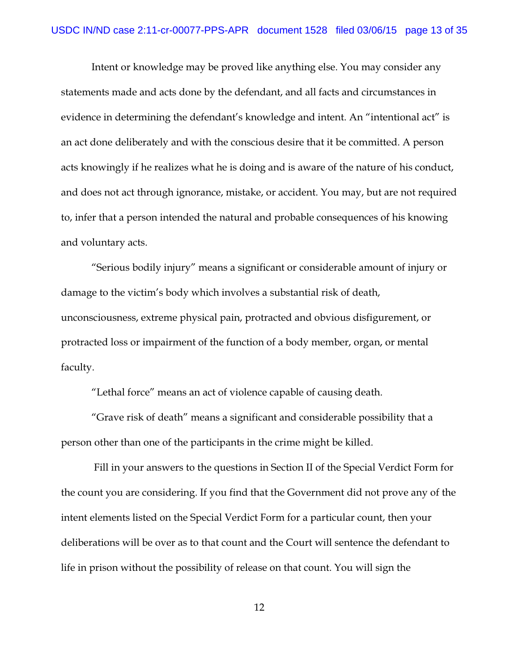Intent or knowledge may be proved like anything else. You may consider any statements made and acts done by the defendant, and all facts and circumstances in evidence in determining the defendant's knowledge and intent. An "intentional act" is an act done deliberately and with the conscious desire that it be committed. A person acts knowingly if he realizes what he is doing and is aware of the nature of his conduct, and does not act through ignorance, mistake, or accident. You may, but are not required to, infer that a person intended the natural and probable consequences of his knowing and voluntary acts.

"Serious bodily injury" means a significant or considerable amount of injury or damage to the victim's body which involves a substantial risk of death, unconsciousness, extreme physical pain, protracted and obvious disfigurement, or protracted loss or impairment of the function of a body member, organ, or mental faculty.

"Lethal force" means an act of violence capable of causing death.

"Grave risk of death" means a significant and considerable possibility that a person other than one of the participants in the crime might be killed.

 Fill in your answers to the questions in Section II of the Special Verdict Form for the count you are considering. If you find that the Government did not prove any of the intent elements listed on the Special Verdict Form for a particular count, then your deliberations will be over as to that count and the Court will sentence the defendant to life in prison without the possibility of release on that count. You will sign the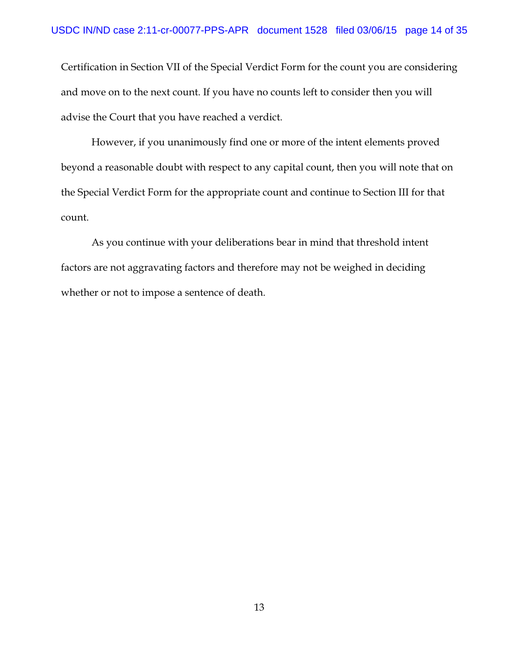Certification in Section VII of the Special Verdict Form for the count you are considering and move on to the next count. If you have no counts left to consider then you will advise the Court that you have reached a verdict.

However, if you unanimously find one or more of the intent elements proved beyond a reasonable doubt with respect to any capital count, then you will note that on the Special Verdict Form for the appropriate count and continue to Section III for that count.

As you continue with your deliberations bear in mind that threshold intent factors are not aggravating factors and therefore may not be weighed in deciding whether or not to impose a sentence of death.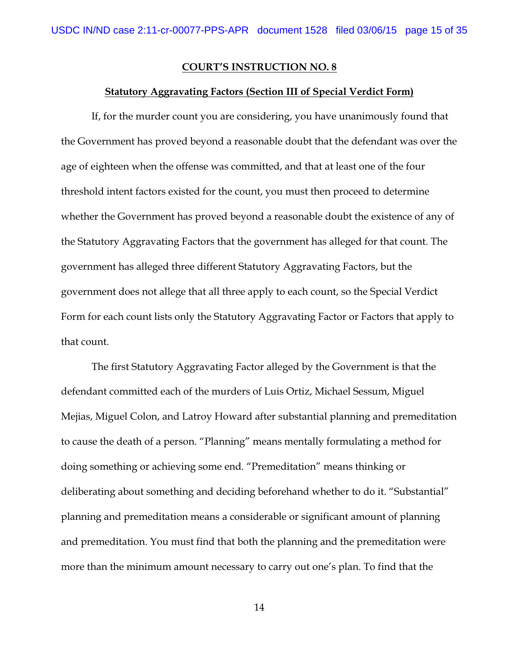#### **Statutory Aggravating Factors (Section III of Special Verdict Form)**

If, for the murder count you are considering, you have unanimously found that the Government has proved beyond a reasonable doubt that the defendant was over the age of eighteen when the offense was committed, and that at least one of the four threshold intent factors existed for the count, you must then proceed to determine whether the Government has proved beyond a reasonable doubt the existence of any of the Statutory Aggravating Factors that the government has alleged for that count. The government has alleged three different Statutory Aggravating Factors, but the government does not allege that all three apply to each count, so the Special Verdict Form for each count lists only the Statutory Aggravating Factor or Factors that apply to that count.

The first Statutory Aggravating Factor alleged by the Government is that the defendant committed each of the murders of Luis Ortiz, Michael Sessum, Miguel Mejias, Miguel Colon, and Latroy Howard after substantial planning and premeditation to cause the death of a person. "Planning" means mentally formulating a method for doing something or achieving some end. "Premeditation" means thinking or deliberating about something and deciding beforehand whether to do it. "Substantial" planning and premeditation means a considerable or significant amount of planning and premeditation. You must find that both the planning and the premeditation were more than the minimum amount necessary to carry out one's plan. To find that the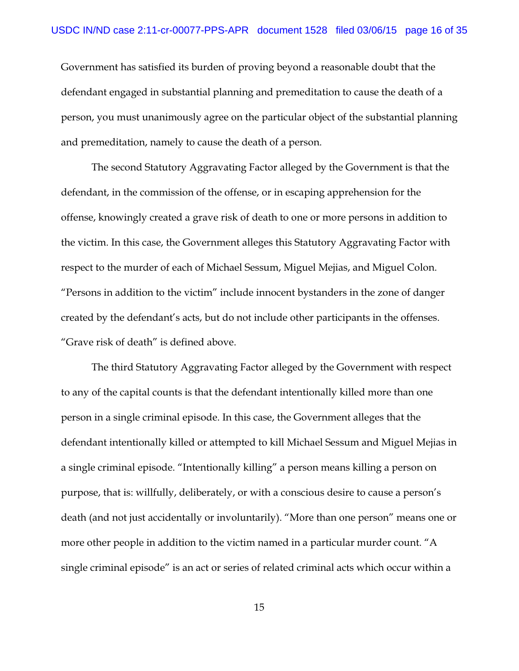Government has satisfied its burden of proving beyond a reasonable doubt that the defendant engaged in substantial planning and premeditation to cause the death of a person, you must unanimously agree on the particular object of the substantial planning and premeditation, namely to cause the death of a person.

The second Statutory Aggravating Factor alleged by the Government is that the defendant, in the commission of the offense, or in escaping apprehension for the offense, knowingly created a grave risk of death to one or more persons in addition to the victim. In this case, the Government alleges this Statutory Aggravating Factor with respect to the murder of each of Michael Sessum, Miguel Mejias, and Miguel Colon. "Persons in addition to the victim" include innocent bystanders in the zone of danger created by the defendant's acts, but do not include other participants in the offenses. "Grave risk of death" is defined above.

The third Statutory Aggravating Factor alleged by the Government with respect to any of the capital counts is that the defendant intentionally killed more than one person in a single criminal episode. In this case, the Government alleges that the defendant intentionally killed or attempted to kill Michael Sessum and Miguel Mejias in a single criminal episode. "Intentionally killing" a person means killing a person on purpose, that is: willfully, deliberately, or with a conscious desire to cause a person's death (and not just accidentally or involuntarily). "More than one person" means one or more other people in addition to the victim named in a particular murder count. "A single criminal episode" is an act or series of related criminal acts which occur within a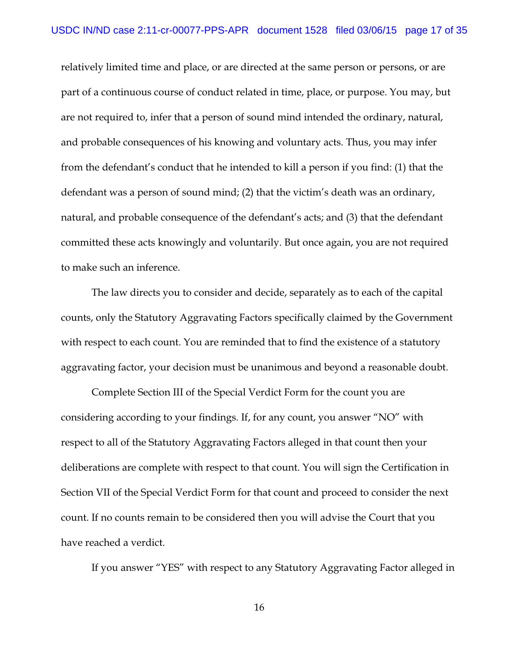relatively limited time and place, or are directed at the same person or persons, or are part of a continuous course of conduct related in time, place, or purpose. You may, but are not required to, infer that a person of sound mind intended the ordinary, natural, and probable consequences of his knowing and voluntary acts. Thus, you may infer from the defendant's conduct that he intended to kill a person if you find: (1) that the defendant was a person of sound mind; (2) that the victim's death was an ordinary, natural, and probable consequence of the defendant's acts; and (3) that the defendant committed these acts knowingly and voluntarily. But once again, you are not required to make such an inference.

The law directs you to consider and decide, separately as to each of the capital counts, only the Statutory Aggravating Factors specifically claimed by the Government with respect to each count. You are reminded that to find the existence of a statutory aggravating factor, your decision must be unanimous and beyond a reasonable doubt.

Complete Section III of the Special Verdict Form for the count you are considering according to your findings. If, for any count, you answer "NO" with respect to all of the Statutory Aggravating Factors alleged in that count then your deliberations are complete with respect to that count. You will sign the Certification in Section VII of the Special Verdict Form for that count and proceed to consider the next count. If no counts remain to be considered then you will advise the Court that you have reached a verdict.

If you answer "YES" with respect to any Statutory Aggravating Factor alleged in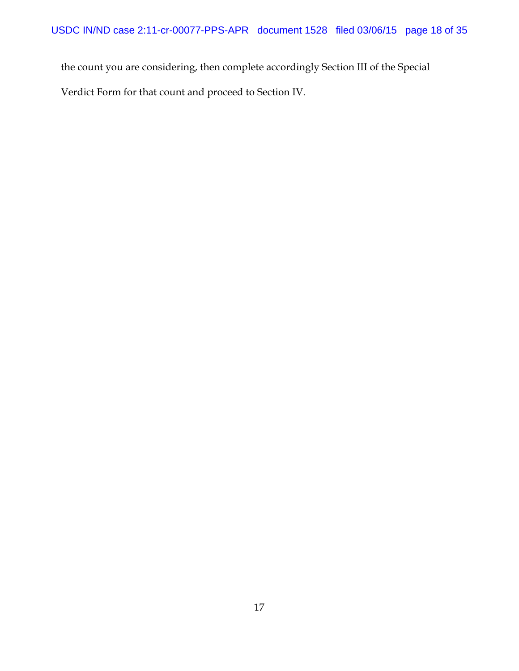the count you are considering, then complete accordingly Section III of the Special

Verdict Form for that count and proceed to Section IV.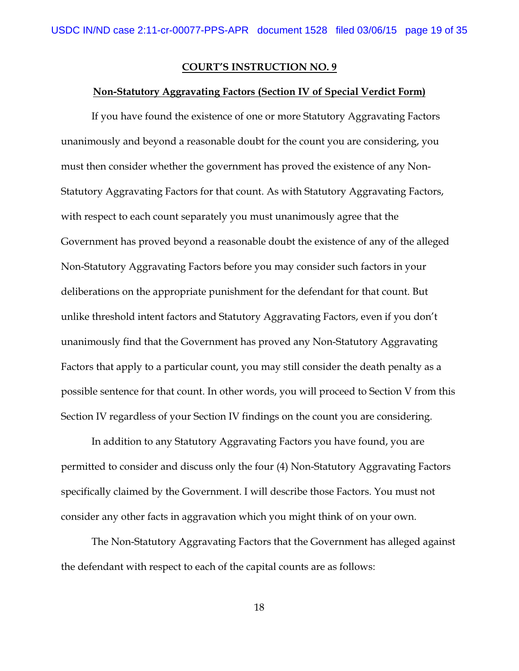#### **Non-Statutory Aggravating Factors (Section IV of Special Verdict Form)**

If you have found the existence of one or more Statutory Aggravating Factors unanimously and beyond a reasonable doubt for the count you are considering, you must then consider whether the government has proved the existence of any Non-Statutory Aggravating Factors for that count. As with Statutory Aggravating Factors, with respect to each count separately you must unanimously agree that the Government has proved beyond a reasonable doubt the existence of any of the alleged Non-Statutory Aggravating Factors before you may consider such factors in your deliberations on the appropriate punishment for the defendant for that count. But unlike threshold intent factors and Statutory Aggravating Factors, even if you don't unanimously find that the Government has proved any Non-Statutory Aggravating Factors that apply to a particular count, you may still consider the death penalty as a possible sentence for that count. In other words, you will proceed to Section V from this Section IV regardless of your Section IV findings on the count you are considering.

In addition to any Statutory Aggravating Factors you have found, you are permitted to consider and discuss only the four (4) Non-Statutory Aggravating Factors specifically claimed by the Government. I will describe those Factors. You must not consider any other facts in aggravation which you might think of on your own.

The Non-Statutory Aggravating Factors that the Government has alleged against the defendant with respect to each of the capital counts are as follows: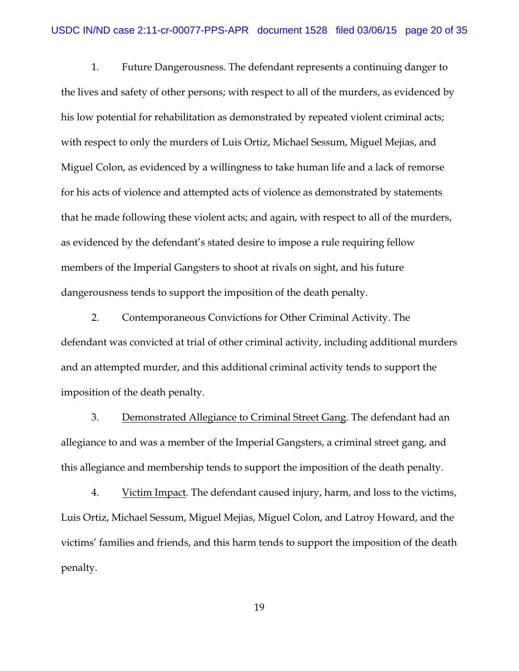1. Future Dangerousness. The defendant represents a continuing danger to the lives and safety of other persons; with respect to all of the murders, as evidenced by his low potential for rehabilitation as demonstrated by repeated violent criminal acts; with respect to only the murders of Luis Ortiz, Michael Sessum, Miguel Mejias, and Miguel Colon, as evidenced by a willingness to take human life and a lack of remorse for his acts of violence and attempted acts of violence as demonstrated by statements that he made following these violent acts; and again, with respect to all of the murders, as evidenced by the defendant's stated desire to impose a rule requiring fellow members of the Imperial Gangsters to shoot at rivals on sight, and his future dangerousness tends to support the imposition of the death penalty.

2. Contemporaneous Convictions for Other Criminal Activity. The defendant was convicted at trial of other criminal activity, including additional murders and an attempted murder, and this additional criminal activity tends to support the imposition of the death penalty.

3. Demonstrated Allegiance to Criminal Street Gang. The defendant had an allegiance to and was a member of the Imperial Gangsters, a criminal street gang, and this allegiance and membership tends to support the imposition of the death penalty.

4. Victim Impact. The defendant caused injury, harm, and loss to the victims, Luis Ortiz, Michael Sessum, Miguel Mejias, Miguel Colon, and Latroy Howard, and the victims' families and friends, and this harm tends to support the imposition of the death penalty.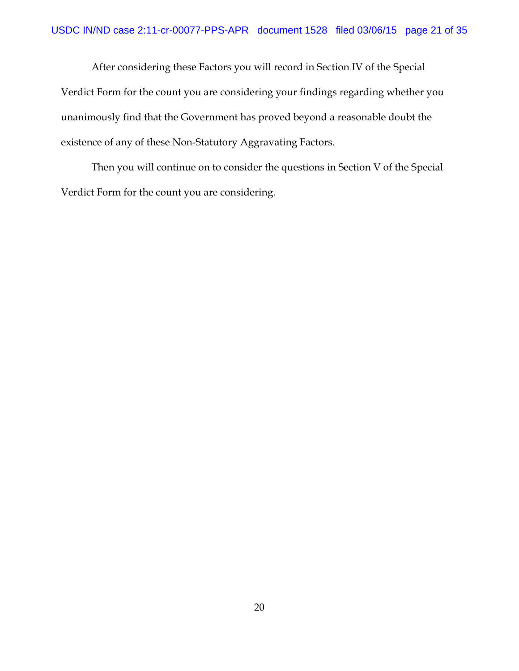After considering these Factors you will record in Section IV of the Special Verdict Form for the count you are considering your findings regarding whether you unanimously find that the Government has proved beyond a reasonable doubt the existence of any of these Non-Statutory Aggravating Factors.

Then you will continue on to consider the questions in Section V of the Special Verdict Form for the count you are considering.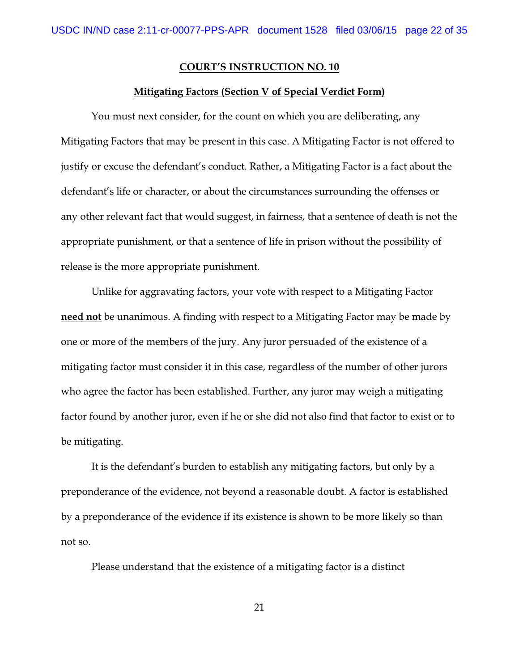#### **Mitigating Factors (Section V of Special Verdict Form)**

You must next consider, for the count on which you are deliberating, any Mitigating Factors that may be present in this case. A Mitigating Factor is not offered to justify or excuse the defendant's conduct. Rather, a Mitigating Factor is a fact about the defendant's life or character, or about the circumstances surrounding the offenses or any other relevant fact that would suggest, in fairness, that a sentence of death is not the appropriate punishment, or that a sentence of life in prison without the possibility of release is the more appropriate punishment.

Unlike for aggravating factors, your vote with respect to a Mitigating Factor **need not** be unanimous. A finding with respect to a Mitigating Factor may be made by one or more of the members of the jury. Any juror persuaded of the existence of a mitigating factor must consider it in this case, regardless of the number of other jurors who agree the factor has been established. Further, any juror may weigh a mitigating factor found by another juror, even if he or she did not also find that factor to exist or to be mitigating.

It is the defendant's burden to establish any mitigating factors, but only by a preponderance of the evidence, not beyond a reasonable doubt. A factor is established by a preponderance of the evidence if its existence is shown to be more likely so than not so.

Please understand that the existence of a mitigating factor is a distinct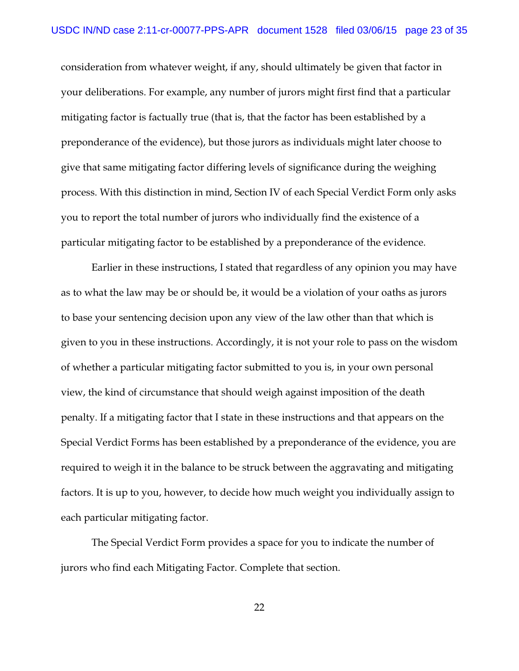consideration from whatever weight, if any, should ultimately be given that factor in your deliberations. For example, any number of jurors might first find that a particular mitigating factor is factually true (that is, that the factor has been established by a preponderance of the evidence), but those jurors as individuals might later choose to give that same mitigating factor differing levels of significance during the weighing process. With this distinction in mind, Section IV of each Special Verdict Form only asks you to report the total number of jurors who individually find the existence of a particular mitigating factor to be established by a preponderance of the evidence.

Earlier in these instructions, I stated that regardless of any opinion you may have as to what the law may be or should be, it would be a violation of your oaths as jurors to base your sentencing decision upon any view of the law other than that which is given to you in these instructions. Accordingly, it is not your role to pass on the wisdom of whether a particular mitigating factor submitted to you is, in your own personal view, the kind of circumstance that should weigh against imposition of the death penalty. If a mitigating factor that I state in these instructions and that appears on the Special Verdict Forms has been established by a preponderance of the evidence, you are required to weigh it in the balance to be struck between the aggravating and mitigating factors. It is up to you, however, to decide how much weight you individually assign to each particular mitigating factor.

The Special Verdict Form provides a space for you to indicate the number of jurors who find each Mitigating Factor. Complete that section.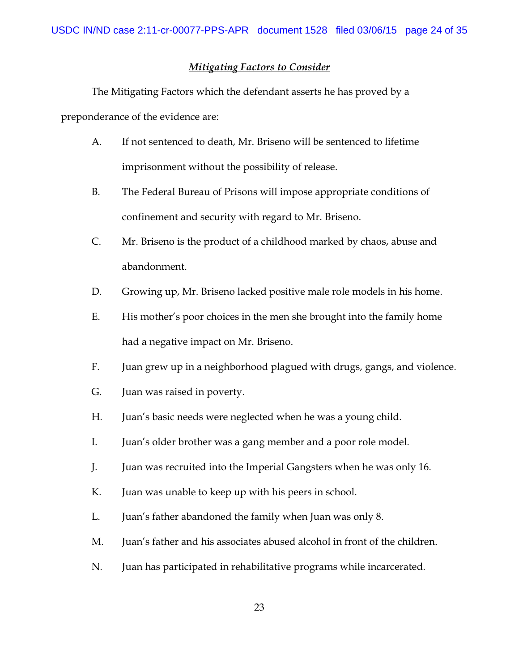# *Mitigating Factors to Consider*

The Mitigating Factors which the defendant asserts he has proved by a preponderance of the evidence are:

- A. If not sentenced to death, Mr. Briseno will be sentenced to lifetime imprisonment without the possibility of release.
- B. The Federal Bureau of Prisons will impose appropriate conditions of confinement and security with regard to Mr. Briseno.
- C. Mr. Briseno is the product of a childhood marked by chaos, abuse and abandonment.
- D. Growing up, Mr. Briseno lacked positive male role models in his home.
- E. His mother's poor choices in the men she brought into the family home had a negative impact on Mr. Briseno.
- F. Juan grew up in a neighborhood plagued with drugs, gangs, and violence.
- G. Juan was raised in poverty.
- H. Juan's basic needs were neglected when he was a young child.
- I. Juan's older brother was a gang member and a poor role model.
- J. Juan was recruited into the Imperial Gangsters when he was only 16.
- K. Juan was unable to keep up with his peers in school.
- L. Juan's father abandoned the family when Juan was only 8.
- M. Juan's father and his associates abused alcohol in front of the children.
- N. Juan has participated in rehabilitative programs while incarcerated.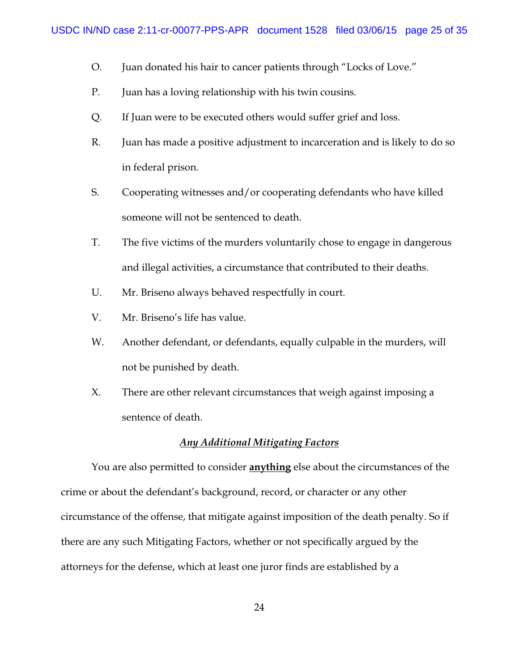- O. Juan donated his hair to cancer patients through "Locks of Love."
- P. Juan has a loving relationship with his twin cousins.
- Q. If Juan were to be executed others would suffer grief and loss.
- R. Juan has made a positive adjustment to incarceration and is likely to do so in federal prison.
- S. Cooperating witnesses and/or cooperating defendants who have killed someone will not be sentenced to death.
- T. The five victims of the murders voluntarily chose to engage in dangerous and illegal activities, a circumstance that contributed to their deaths.
- U. Mr. Briseno always behaved respectfully in court.
- V. Mr. Briseno's life has value.
- W. Another defendant, or defendants, equally culpable in the murders, will not be punished by death.
- X. There are other relevant circumstances that weigh against imposing a sentence of death.

## *Any Additional Mitigating Factors*

You are also permitted to consider **anything** else about the circumstances of the crime or about the defendant's background, record, or character or any other circumstance of the offense, that mitigate against imposition of the death penalty. So if there are any such Mitigating Factors, whether or not specifically argued by the attorneys for the defense, which at least one juror finds are established by a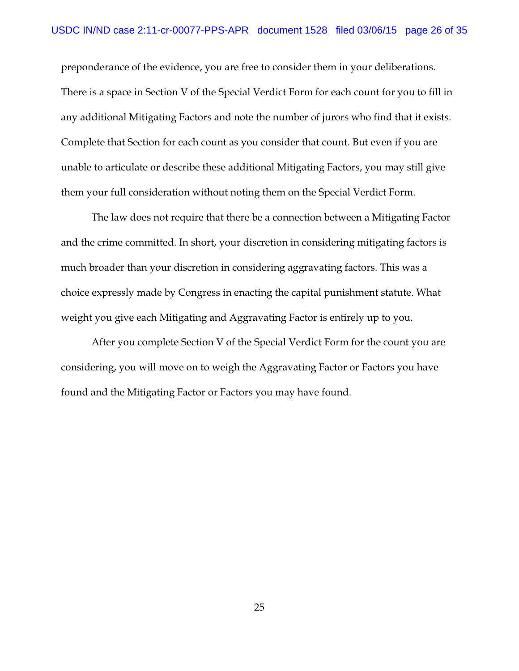preponderance of the evidence, you are free to consider them in your deliberations. There is a space in Section V of the Special Verdict Form for each count for you to fill in any additional Mitigating Factors and note the number of jurors who find that it exists. Complete that Section for each count as you consider that count. But even if you are unable to articulate or describe these additional Mitigating Factors, you may still give them your full consideration without noting them on the Special Verdict Form.

The law does not require that there be a connection between a Mitigating Factor and the crime committed. In short, your discretion in considering mitigating factors is much broader than your discretion in considering aggravating factors. This was a choice expressly made by Congress in enacting the capital punishment statute. What weight you give each Mitigating and Aggravating Factor is entirely up to you.

After you complete Section V of the Special Verdict Form for the count you are considering, you will move on to weigh the Aggravating Factor or Factors you have found and the Mitigating Factor or Factors you may have found.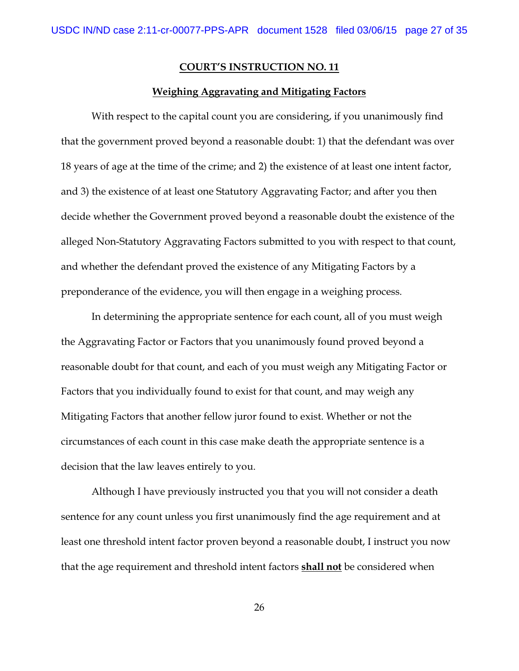### **Weighing Aggravating and Mitigating Factors**

With respect to the capital count you are considering, if you unanimously find that the government proved beyond a reasonable doubt: 1) that the defendant was over 18 years of age at the time of the crime; and 2) the existence of at least one intent factor, and 3) the existence of at least one Statutory Aggravating Factor; and after you then decide whether the Government proved beyond a reasonable doubt the existence of the alleged Non-Statutory Aggravating Factors submitted to you with respect to that count, and whether the defendant proved the existence of any Mitigating Factors by a preponderance of the evidence, you will then engage in a weighing process.

In determining the appropriate sentence for each count, all of you must weigh the Aggravating Factor or Factors that you unanimously found proved beyond a reasonable doubt for that count, and each of you must weigh any Mitigating Factor or Factors that you individually found to exist for that count, and may weigh any Mitigating Factors that another fellow juror found to exist. Whether or not the circumstances of each count in this case make death the appropriate sentence is a decision that the law leaves entirely to you.

Although I have previously instructed you that you will not consider a death sentence for any count unless you first unanimously find the age requirement and at least one threshold intent factor proven beyond a reasonable doubt, I instruct you now that the age requirement and threshold intent factors **shall not** be considered when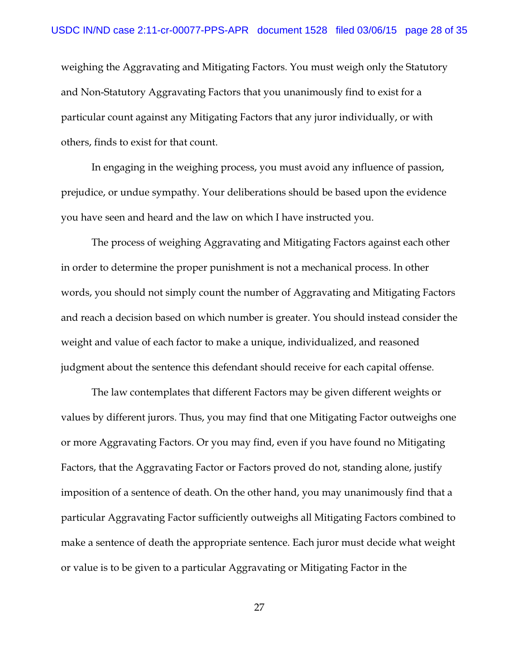weighing the Aggravating and Mitigating Factors. You must weigh only the Statutory and Non-Statutory Aggravating Factors that you unanimously find to exist for a particular count against any Mitigating Factors that any juror individually, or with others, finds to exist for that count.

In engaging in the weighing process, you must avoid any influence of passion, prejudice, or undue sympathy. Your deliberations should be based upon the evidence you have seen and heard and the law on which I have instructed you.

The process of weighing Aggravating and Mitigating Factors against each other in order to determine the proper punishment is not a mechanical process. In other words, you should not simply count the number of Aggravating and Mitigating Factors and reach a decision based on which number is greater. You should instead consider the weight and value of each factor to make a unique, individualized, and reasoned judgment about the sentence this defendant should receive for each capital offense.

The law contemplates that different Factors may be given different weights or values by different jurors. Thus, you may find that one Mitigating Factor outweighs one or more Aggravating Factors. Or you may find, even if you have found no Mitigating Factors, that the Aggravating Factor or Factors proved do not, standing alone, justify imposition of a sentence of death. On the other hand, you may unanimously find that a particular Aggravating Factor sufficiently outweighs all Mitigating Factors combined to make a sentence of death the appropriate sentence. Each juror must decide what weight or value is to be given to a particular Aggravating or Mitigating Factor in the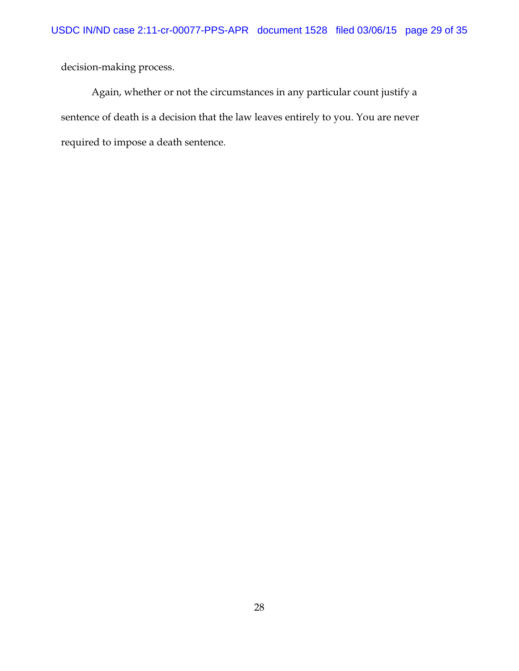decision-making process.

Again, whether or not the circumstances in any particular count justify a sentence of death is a decision that the law leaves entirely to you. You are never required to impose a death sentence.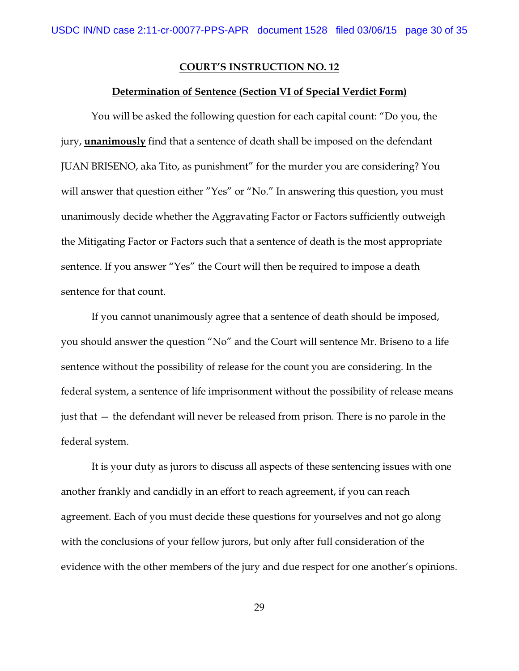#### **Determination of Sentence (Section VI of Special Verdict Form)**

You will be asked the following question for each capital count: "Do you, the jury, **unanimously** find that a sentence of death shall be imposed on the defendant JUAN BRISENO, aka Tito, as punishment" for the murder you are considering? You will answer that question either "Yes" or "No." In answering this question, you must unanimously decide whether the Aggravating Factor or Factors sufficiently outweigh the Mitigating Factor or Factors such that a sentence of death is the most appropriate sentence. If you answer "Yes" the Court will then be required to impose a death sentence for that count.

If you cannot unanimously agree that a sentence of death should be imposed, you should answer the question "No" and the Court will sentence Mr. Briseno to a life sentence without the possibility of release for the count you are considering. In the federal system, a sentence of life imprisonment without the possibility of release means just that — the defendant will never be released from prison. There is no parole in the federal system.

It is your duty as jurors to discuss all aspects of these sentencing issues with one another frankly and candidly in an effort to reach agreement, if you can reach agreement. Each of you must decide these questions for yourselves and not go along with the conclusions of your fellow jurors, but only after full consideration of the evidence with the other members of the jury and due respect for one another's opinions.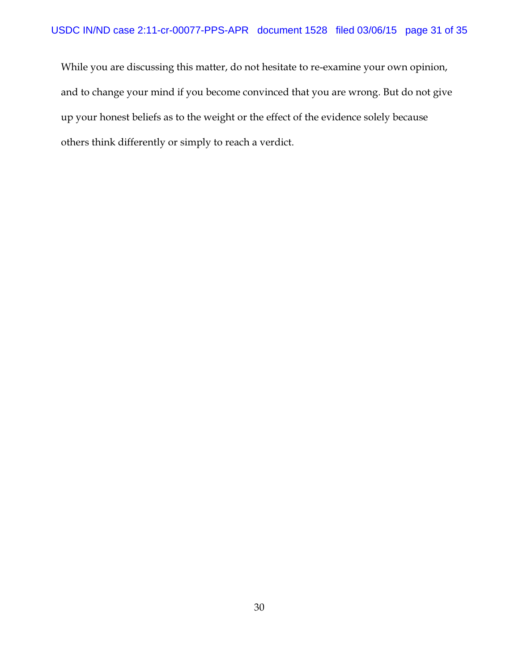While you are discussing this matter, do not hesitate to re-examine your own opinion, and to change your mind if you become convinced that you are wrong. But do not give up your honest beliefs as to the weight or the effect of the evidence solely because others think differently or simply to reach a verdict.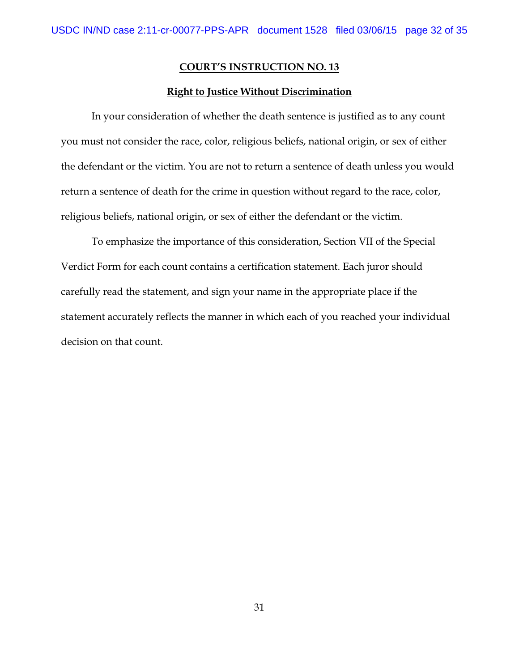#### **Right to Justice Without Discrimination**

In your consideration of whether the death sentence is justified as to any count you must not consider the race, color, religious beliefs, national origin, or sex of either the defendant or the victim. You are not to return a sentence of death unless you would return a sentence of death for the crime in question without regard to the race, color, religious beliefs, national origin, or sex of either the defendant or the victim.

To emphasize the importance of this consideration, Section VII of the Special Verdict Form for each count contains a certification statement. Each juror should carefully read the statement, and sign your name in the appropriate place if the statement accurately reflects the manner in which each of you reached your individual decision on that count.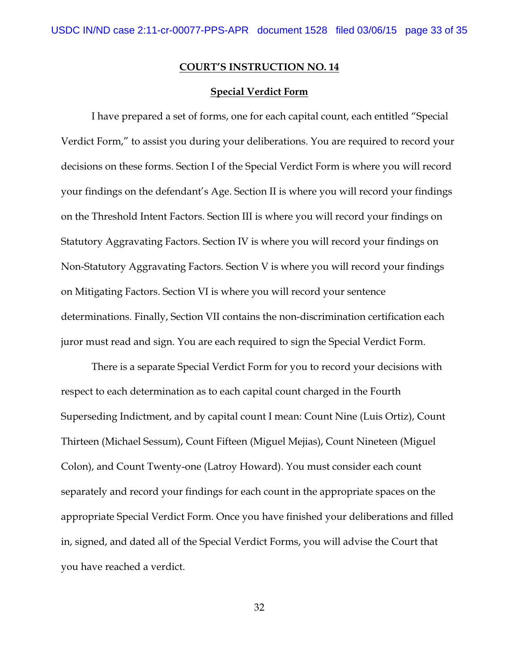### **Special Verdict Form**

I have prepared a set of forms, one for each capital count, each entitled "Special Verdict Form," to assist you during your deliberations. You are required to record your decisions on these forms. Section I of the Special Verdict Form is where you will record your findings on the defendant's Age. Section II is where you will record your findings on the Threshold Intent Factors. Section III is where you will record your findings on Statutory Aggravating Factors. Section IV is where you will record your findings on Non-Statutory Aggravating Factors. Section V is where you will record your findings on Mitigating Factors. Section VI is where you will record your sentence determinations. Finally, Section VII contains the non-discrimination certification each juror must read and sign. You are each required to sign the Special Verdict Form.

There is a separate Special Verdict Form for you to record your decisions with respect to each determination as to each capital count charged in the Fourth Superseding Indictment, and by capital count I mean: Count Nine (Luis Ortiz), Count Thirteen (Michael Sessum), Count Fifteen (Miguel Mejias), Count Nineteen (Miguel Colon), and Count Twenty-one (Latroy Howard). You must consider each count separately and record your findings for each count in the appropriate spaces on the appropriate Special Verdict Form. Once you have finished your deliberations and filled in, signed, and dated all of the Special Verdict Forms, you will advise the Court that you have reached a verdict.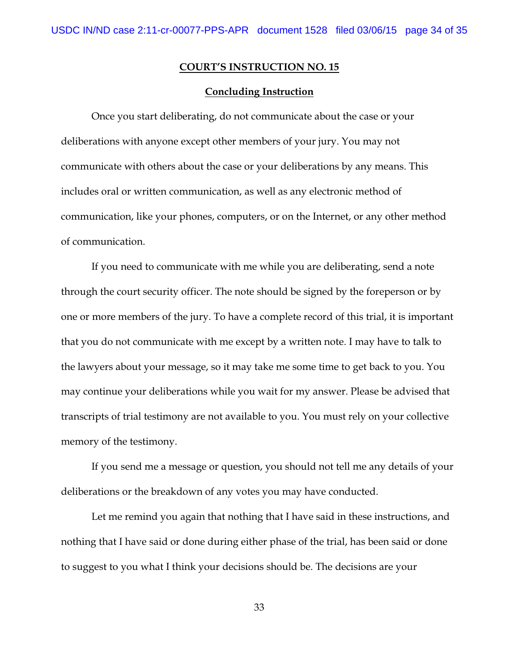#### **Concluding Instruction**

Once you start deliberating, do not communicate about the case or your deliberations with anyone except other members of your jury. You may not communicate with others about the case or your deliberations by any means. This includes oral or written communication, as well as any electronic method of communication, like your phones, computers, or on the Internet, or any other method of communication.

If you need to communicate with me while you are deliberating, send a note through the court security officer. The note should be signed by the foreperson or by one or more members of the jury. To have a complete record of this trial, it is important that you do not communicate with me except by a written note. I may have to talk to the lawyers about your message, so it may take me some time to get back to you. You may continue your deliberations while you wait for my answer. Please be advised that transcripts of trial testimony are not available to you. You must rely on your collective memory of the testimony.

If you send me a message or question, you should not tell me any details of your deliberations or the breakdown of any votes you may have conducted.

Let me remind you again that nothing that I have said in these instructions, and nothing that I have said or done during either phase of the trial, has been said or done to suggest to you what I think your decisions should be. The decisions are your